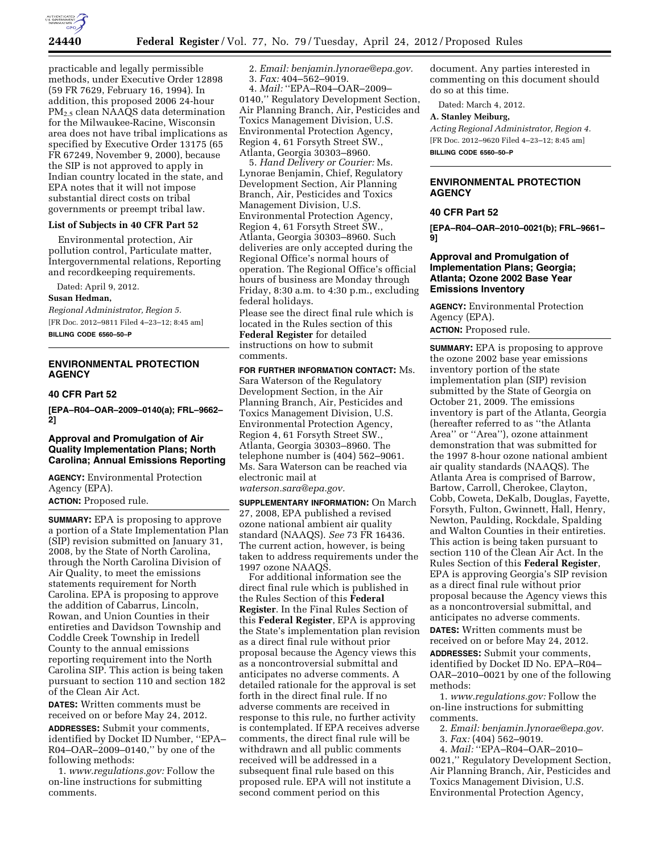

practicable and legally permissible methods, under Executive Order 12898 (59 FR 7629, February 16, 1994). In addition, this proposed 2006 24-hour PM<sub>2.5</sub> clean NAAQS data determination for the Milwaukee-Racine, Wisconsin area does not have tribal implications as specified by Executive Order 13175 (65 FR 67249, November 9, 2000), because the SIP is not approved to apply in Indian country located in the state, and EPA notes that it will not impose substantial direct costs on tribal governments or preempt tribal law.

### **List of Subjects in 40 CFR Part 52**

Environmental protection, Air pollution control, Particulate matter, Intergovernmental relations, Reporting and recordkeeping requirements.

Dated: April 9, 2012.

#### **Susan Hedman,**

*Regional Administrator, Region 5.*  [FR Doc. 2012–9811 Filed 4–23–12; 8:45 am] **BILLING CODE 6560–50–P** 

### **ENVIRONMENTAL PROTECTION AGENCY**

## **40 CFR Part 52**

**[EPA–R04–OAR–2009–0140(a); FRL–9662– 2]** 

#### **Approval and Promulgation of Air Quality Implementation Plans; North Carolina; Annual Emissions Reporting**

**AGENCY:** Environmental Protection Agency (EPA).

#### **ACTION:** Proposed rule.

**SUMMARY:** EPA is proposing to approve a portion of a State Implementation Plan (SIP) revision submitted on January 31, 2008, by the State of North Carolina, through the North Carolina Division of Air Quality, to meet the emissions statements requirement for North Carolina. EPA is proposing to approve the addition of Cabarrus, Lincoln, Rowan, and Union Counties in their entireties and Davidson Township and Coddle Creek Township in Iredell County to the annual emissions reporting requirement into the North Carolina SIP. This action is being taken pursuant to section 110 and section 182 of the Clean Air Act.

**DATES:** Written comments must be received on or before May 24, 2012. **ADDRESSES:** Submit your comments, identified by Docket ID Number, ''EPA– R04–OAR–2009–0140,'' by one of the following methods:

1. *[www.regulations.gov:](http://www.regulations.gov)* Follow the on-line instructions for submitting comments.

2. *Email: [benjamin.lynorae@epa.gov.](mailto:benjamin.lynorae@epa.gov)*  3. *Fax:* 404–562–9019.

4. *Mail:* ''EPA–R04–OAR–2009– 0140,'' Regulatory Development Section, Air Planning Branch, Air, Pesticides and Toxics Management Division, U.S. Environmental Protection Agency, Region 4, 61 Forsyth Street SW., Atlanta, Georgia 30303–8960.

5. *Hand Delivery or Courier:* Ms. Lynorae Benjamin, Chief, Regulatory Development Section, Air Planning Branch, Air, Pesticides and Toxics Management Division, U.S. Environmental Protection Agency, Region 4, 61 Forsyth Street SW., Atlanta, Georgia 30303–8960. Such deliveries are only accepted during the Regional Office's normal hours of operation. The Regional Office's official hours of business are Monday through Friday, 8:30 a.m. to 4:30 p.m., excluding federal holidays.

Please see the direct final rule which is located in the Rules section of this **Federal Register** for detailed instructions on how to submit comments.

**FOR FURTHER INFORMATION CONTACT:** Ms. Sara Waterson of the Regulatory Development Section, in the Air Planning Branch, Air, Pesticides and Toxics Management Division, U.S. Environmental Protection Agency, Region 4, 61 Forsyth Street SW., Atlanta, Georgia 30303–8960. The telephone number is (404) 562–9061. Ms. Sara Waterson can be reached via electronic mail at

*[waterson.sara@epa.gov.](mailto:waterson.sara@epa.gov)* 

**SUPPLEMENTARY INFORMATION:** On March 27, 2008, EPA published a revised ozone national ambient air quality standard (NAAQS). *See* 73 FR 16436. The current action, however, is being taken to address requirements under the 1997 ozone NAAQS.

For additional information see the direct final rule which is published in the Rules Section of this **Federal Register**. In the Final Rules Section of this **Federal Register**, EPA is approving the State's implementation plan revision as a direct final rule without prior proposal because the Agency views this as a noncontroversial submittal and anticipates no adverse comments. A detailed rationale for the approval is set forth in the direct final rule. If no adverse comments are received in response to this rule, no further activity is contemplated. If EPA receives adverse comments, the direct final rule will be withdrawn and all public comments received will be addressed in a subsequent final rule based on this proposed rule. EPA will not institute a second comment period on this

document. Any parties interested in commenting on this document should do so at this time.

Dated: March 4, 2012.

#### **A. Stanley Meiburg,**

*Acting Regional Administrator, Region 4.*  [FR Doc. 2012–9620 Filed 4–23–12; 8:45 am] **BILLING CODE 6560–50–P** 

## **ENVIRONMENTAL PROTECTION AGENCY**

#### **40 CFR Part 52**

**[EPA–R04–OAR–2010–0021(b); FRL–9661– 9]** 

### **Approval and Promulgation of Implementation Plans; Georgia; Atlanta; Ozone 2002 Base Year Emissions Inventory**

**AGENCY:** Environmental Protection Agency (EPA). **ACTION:** Proposed rule.

**SUMMARY:** EPA is proposing to approve the ozone 2002 base year emissions inventory portion of the state implementation plan (SIP) revision submitted by the State of Georgia on October 21, 2009. The emissions inventory is part of the Atlanta, Georgia (hereafter referred to as ''the Atlanta Area'' or ''Area''), ozone attainment demonstration that was submitted for the 1997 8-hour ozone national ambient air quality standards (NAAQS). The Atlanta Area is comprised of Barrow, Bartow, Carroll, Cherokee, Clayton, Cobb, Coweta, DeKalb, Douglas, Fayette, Forsyth, Fulton, Gwinnett, Hall, Henry, Newton, Paulding, Rockdale, Spalding and Walton Counties in their entireties. This action is being taken pursuant to section 110 of the Clean Air Act. In the Rules Section of this **Federal Register**, EPA is approving Georgia's SIP revision as a direct final rule without prior proposal because the Agency views this as a noncontroversial submittal, and anticipates no adverse comments.

**DATES:** Written comments must be received on or before May 24, 2012.

**ADDRESSES:** Submit your comments, identified by Docket ID No. EPA–R04– OAR–2010–0021 by one of the following methods:

1. *[www.regulations.gov:](http://www.regulations.gov)* Follow the on-line instructions for submitting comments.

- 2. *Email: [benjamin.lynorae@epa.gov.](mailto:benjamin.lynorae@epa.gov)*
- 3. *Fax:* (404) 562–9019.

4. *Mail:* ''EPA–R04–OAR–2010– 0021,'' Regulatory Development Section, Air Planning Branch, Air, Pesticides and Toxics Management Division, U.S. Environmental Protection Agency,